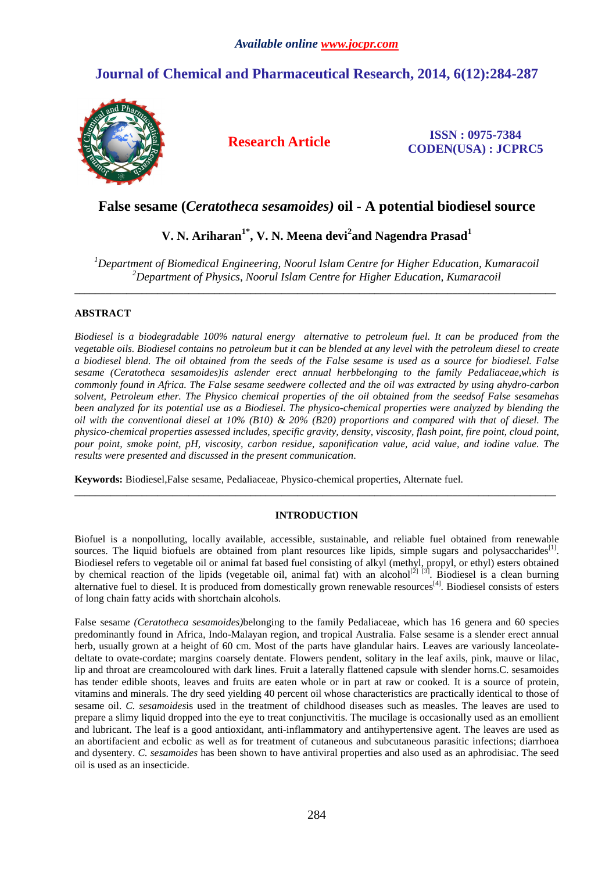# **Journal of Chemical and Pharmaceutical Research, 2014, 6(12):284-287**



**Research Article ISSN : 0975-7384 CODEN(USA) : JCPRC5**

## **False sesame (***Ceratotheca sesamoides)* **oil - A potential biodiesel source**

## **V. N. Ariharan1\*, V. N. Meena devi<sup>2</sup> and Nagendra Prasad<sup>1</sup>**

*<sup>1</sup>Department of Biomedical Engineering, Noorul Islam Centre for Higher Education, Kumaracoil <sup>2</sup>Department of Physics, Noorul Islam Centre for Higher Education, Kumaracoil*  \_\_\_\_\_\_\_\_\_\_\_\_\_\_\_\_\_\_\_\_\_\_\_\_\_\_\_\_\_\_\_\_\_\_\_\_\_\_\_\_\_\_\_\_\_\_\_\_\_\_\_\_\_\_\_\_\_\_\_\_\_\_\_\_\_\_\_\_\_\_\_\_\_\_\_\_\_\_\_\_\_\_\_\_\_\_\_\_\_\_\_\_\_

### **ABSTRACT**

*Biodiesel is a biodegradable 100% natural energy alternative to petroleum fuel. It can be produced from the vegetable oils. Biodiesel contains no petroleum but it can be blended at any level with the petroleum diesel to create a biodiesel blend. The oil obtained from the seeds of the False sesame is used as a source for biodiesel. False sesame (Ceratotheca sesamoides)is aslender erect annual herbbelonging to the family Pedaliaceae,which is commonly found in Africa. The False sesame seedwere collected and the oil was extracted by using ahydro-carbon solvent, Petroleum ether. The Physico chemical properties of the oil obtained from the seedsof False sesamehas been analyzed for its potential use as a Biodiesel. The physico-chemical properties were analyzed by blending the oil with the conventional diesel at 10% (B10) & 20% (B20) proportions and compared with that of diesel. The physico-chemical properties assessed includes, specific gravity, density, viscosity, flash point, fire point, cloud point, pour point, smoke point, pH, viscosity, carbon residue, saponification value, acid value, and iodine value. The results were presented and discussed in the present communication*.

**Keywords:** Biodiesel,False sesame, Pedaliaceae, Physico-chemical properties, Alternate fuel.

### **INTRODUCTION**

\_\_\_\_\_\_\_\_\_\_\_\_\_\_\_\_\_\_\_\_\_\_\_\_\_\_\_\_\_\_\_\_\_\_\_\_\_\_\_\_\_\_\_\_\_\_\_\_\_\_\_\_\_\_\_\_\_\_\_\_\_\_\_\_\_\_\_\_\_\_\_\_\_\_\_\_\_\_\_\_\_\_\_\_\_\_\_\_\_\_\_\_\_

Biofuel is a nonpolluting, locally available, accessible, sustainable, and reliable fuel obtained from renewable sources. The liquid biofuels are obtained from plant resources like lipids, simple sugars and polysaccharides<sup>[1]</sup>. Biodiesel refers to vegetable oil or animal fat based fuel consisting of alkyl (methyl, propyl, or ethyl) esters obtained by chemical reaction of the lipids (vegetable oil, animal fat) with an alcohol<sup>[2] [3]</sup>. Biodiesel is a clean burning alternative fuel to diesel. It is produced from domestically grown renewable resources<sup>[4]</sup>. Biodiesel consists of esters of long chain fatty acids with shortchain alcohols.

False sesam*e (Ceratotheca sesamoides)*belonging to the family Pedaliaceae, which has 16 genera and 60 species predominantly found in Africa, Indo-Malayan region, and tropical Australia. False sesame is a slender erect annual herb, usually grown at a height of 60 cm. Most of the parts have glandular hairs. Leaves are variously lanceolatedeltate to ovate-cordate; margins coarsely dentate. Flowers pendent, solitary in the leaf axils, pink, mauve or lilac, lip and throat are creamcoloured with dark lines. Fruit a laterally flattened capsule with slender horns.C. sesamoides has tender edible shoots, leaves and fruits are eaten whole or in part at raw or cooked. It is a source of protein, vitamins and minerals. The dry seed yielding 40 percent oil whose characteristics are practically identical to those of sesame oil. *C. sesamoides*is used in the treatment of childhood diseases such as measles. The leaves are used to prepare a slimy liquid dropped into the eye to treat conjunctivitis. The mucilage is occasionally used as an emollient and lubricant. The leaf is a good antioxidant, anti-inflammatory and antihypertensive agent. The leaves are used as an abortifacient and ecbolic as well as for treatment of cutaneous and subcutaneous parasitic infections; diarrhoea and dysentery. *C. sesamoides* has been shown to have antiviral properties and also used as an aphrodisiac. The seed oil is used as an insecticide.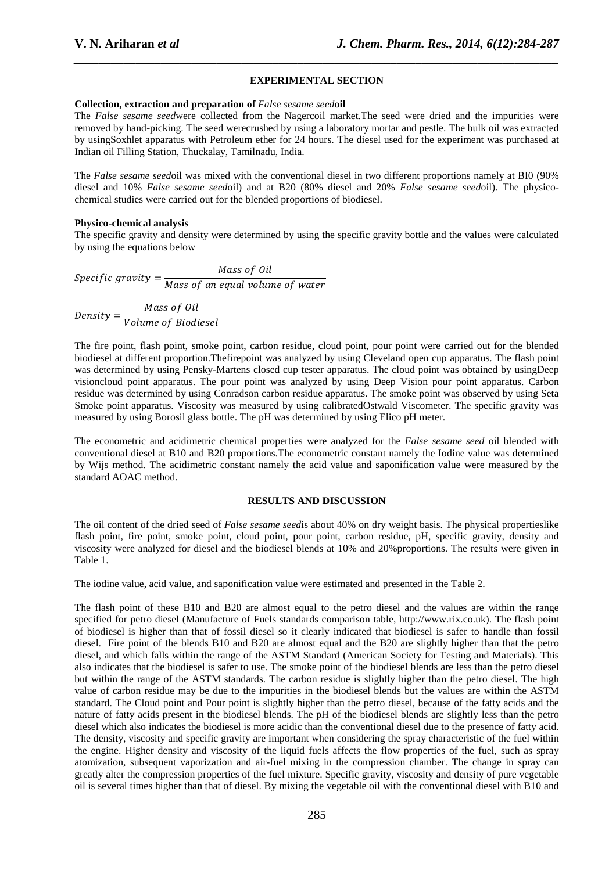#### **EXPERIMENTAL SECTION**

*\_\_\_\_\_\_\_\_\_\_\_\_\_\_\_\_\_\_\_\_\_\_\_\_\_\_\_\_\_\_\_\_\_\_\_\_\_\_\_\_\_\_\_\_\_\_\_\_\_\_\_\_\_\_\_\_\_\_\_\_\_\_\_\_\_\_\_\_\_\_\_\_\_\_\_\_\_\_*

#### **Collection, extraction and preparation of** *False sesame seed***oil**

The *False sesame seed*were collected from the Nagercoil market.The seed were dried and the impurities were removed by hand-picking. The seed werecrushed by using a laboratory mortar and pestle. The bulk oil was extracted by usingSoxhlet apparatus with Petroleum ether for 24 hours. The diesel used for the experiment was purchased at Indian oil Filling Station, Thuckalay, Tamilnadu, India.

The *False sesame seed*oil was mixed with the conventional diesel in two different proportions namely at BI0 (90% diesel and 10% *False sesame seed*oil) and at B20 (80% diesel and 20% *False sesame seed*oil). The physicochemical studies were carried out for the blended proportions of biodiesel.

#### **Physico-chemical analysis**

The specific gravity and density were determined by using the specific gravity bottle and the values were calculated by using the equations below

 $Specific\ gravity = \frac{Mass\ of\ Oil}{Mense\ few\ several\ volume}$ Mass of an equal volume of water

Density =  $\frac{Mass\ of\ Oil}{\frac{1}{2} + \frac{1}{2}}$ Volume of Biodiesel

The fire point, flash point, smoke point, carbon residue, cloud point, pour point were carried out for the blended biodiesel at different proportion.Thefirepoint was analyzed by using Cleveland open cup apparatus. The flash point was determined by using Pensky-Martens closed cup tester apparatus. The cloud point was obtained by usingDeep visioncloud point apparatus. The pour point was analyzed by using Deep Vision pour point apparatus. Carbon residue was determined by using Conradson carbon residue apparatus. The smoke point was observed by using Seta Smoke point apparatus. Viscosity was measured by using calibratedOstwald Viscometer. The specific gravity was measured by using Borosil glass bottle. The pH was determined by using Elico pH meter.

The econometric and acidimetric chemical properties were analyzed for the *False sesame seed* oil blended with conventional diesel at B10 and B20 proportions.The econometric constant namely the Iodine value was determined by Wijs method. The acidimetric constant namely the acid value and saponification value were measured by the standard AOAC method.

#### **RESULTS AND DISCUSSION**

The oil content of the dried seed of *False sesame seed*is about 40% on dry weight basis. The physical propertieslike flash point, fire point, smoke point, cloud point, pour point, carbon residue, pH, specific gravity, density and viscosity were analyzed for diesel and the biodiesel blends at 10% and 20%proportions. The results were given in Table 1.

The iodine value, acid value, and saponification value were estimated and presented in the Table 2.

The flash point of these B10 and B20 are almost equal to the petro diesel and the values are within the range specified for petro diesel (Manufacture of Fuels standards comparison table, http://www.rix.co.uk). The flash point of biodiesel is higher than that of fossil diesel so it clearly indicated that biodiesel is safer to handle than fossil diesel. Fire point of the blends B10 and B20 are almost equal and the B20 are slightly higher than that the petro diesel, and which falls within the range of the ASTM Standard (American Society for Testing and Materials). This also indicates that the biodiesel is safer to use. The smoke point of the biodiesel blends are less than the petro diesel but within the range of the ASTM standards. The carbon residue is slightly higher than the petro diesel. The high value of carbon residue may be due to the impurities in the biodiesel blends but the values are within the ASTM standard. The Cloud point and Pour point is slightly higher than the petro diesel, because of the fatty acids and the nature of fatty acids present in the biodiesel blends. The pH of the biodiesel blends are slightly less than the petro diesel which also indicates the biodiesel is more acidic than the conventional diesel due to the presence of fatty acid. The density, viscosity and specific gravity are important when considering the spray characteristic of the fuel within the engine. Higher density and viscosity of the liquid fuels affects the flow properties of the fuel, such as spray atomization, subsequent vaporization and air-fuel mixing in the compression chamber. The change in spray can greatly alter the compression properties of the fuel mixture. Specific gravity, viscosity and density of pure vegetable oil is several times higher than that of diesel. By mixing the vegetable oil with the conventional diesel with B10 and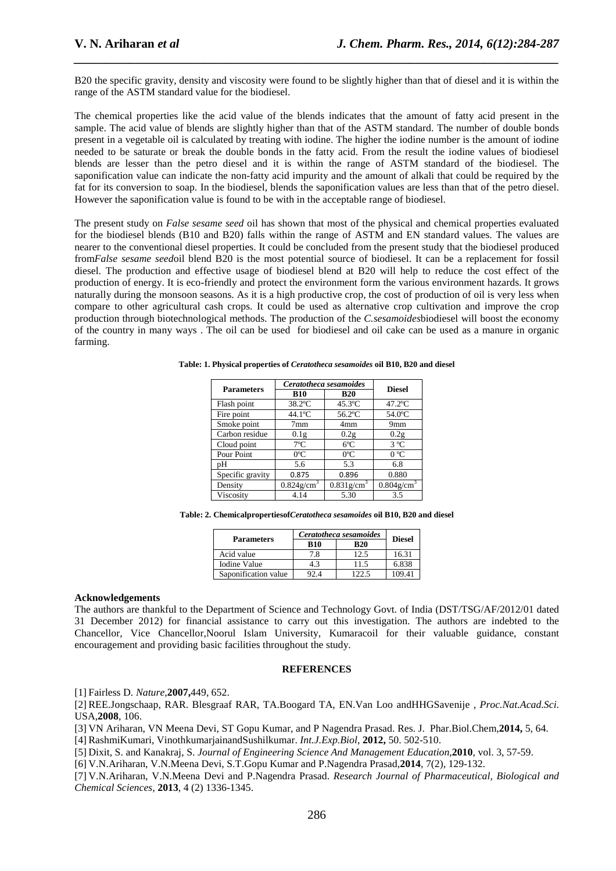B20 the specific gravity, density and viscosity were found to be slightly higher than that of diesel and it is within the range of the ASTM standard value for the biodiesel.

*\_\_\_\_\_\_\_\_\_\_\_\_\_\_\_\_\_\_\_\_\_\_\_\_\_\_\_\_\_\_\_\_\_\_\_\_\_\_\_\_\_\_\_\_\_\_\_\_\_\_\_\_\_\_\_\_\_\_\_\_\_\_\_\_\_\_\_\_\_\_\_\_\_\_\_\_\_\_*

The chemical properties like the acid value of the blends indicates that the amount of fatty acid present in the sample. The acid value of blends are slightly higher than that of the ASTM standard. The number of double bonds present in a vegetable oil is calculated by treating with iodine. The higher the iodine number is the amount of iodine needed to be saturate or break the double bonds in the fatty acid. From the result the iodine values of biodiesel blends are lesser than the petro diesel and it is within the range of ASTM standard of the biodiesel. The saponification value can indicate the non-fatty acid impurity and the amount of alkali that could be required by the fat for its conversion to soap. In the biodiesel, blends the saponification values are less than that of the petro diesel. However the saponification value is found to be with in the acceptable range of biodiesel.

The present study on *False sesame seed* oil has shown that most of the physical and chemical properties evaluated for the biodiesel blends (B10 and B20) falls within the range of ASTM and EN standard values. The values are nearer to the conventional diesel properties. It could be concluded from the present study that the biodiesel produced from*False sesame seed*oil blend B20 is the most potential source of biodiesel. It can be a replacement for fossil diesel. The production and effective usage of biodiesel blend at B20 will help to reduce the cost effect of the production of energy. It is eco-friendly and protect the environment form the various environment hazards. It grows naturally during the monsoon seasons. As it is a high productive crop, the cost of production of oil is very less when compare to other agricultural cash crops. It could be used as alternative crop cultivation and improve the crop production through biotechnological methods. The production of the *C.sesamoides*biodiesel will boost the economy of the country in many ways . The oil can be used for biodiesel and oil cake can be used as a manure in organic farming.

| <b>Parameters</b> | Ceratotheca sesamoides    |                           | <b>Diesel</b>             |
|-------------------|---------------------------|---------------------------|---------------------------|
|                   | <b>B10</b>                | <b>B20</b>                |                           |
| Flash point       | 38.2°C                    | $45.3$ °C                 | $47.2$ °C                 |
| Fire point        | $44.1$ °C                 | 56.2°C                    | 54.0°C                    |
| Smoke point       | 7 <sub>mm</sub>           | 4mm                       | 9 <sub>mm</sub>           |
| Carbon residue    | 0.1 <sub>g</sub>          | 0.2g                      | 0.2g                      |
| Cloud point       | $7^{\circ}$ C             | $6^{\circ}$ C             | $3^{\circ}C$              |
| Pour Point        | $0^{\circ}$ C             | $0^{\circ}$ C             | 0 °C                      |
| pН                | 5.6                       | 5.3                       | 6.8                       |
| Specific gravity  | 0.875                     | 0.896                     | 0.880                     |
| Density           | $0.824$ g/cm <sup>3</sup> | $0.831$ g/cm <sup>3</sup> | $0.804$ g/cm <sup>3</sup> |
| Viscositv         | 4.14                      | 5.30                      | 3.5                       |

**Table: 1. Physical properties of** *Ceratotheca sesamoides* **oil B10, B20 and diesel** 

**Table: 2. Chemicalpropertiesof***Ceratotheca sesamoides* **oil B10, B20 and diesel** 

| <b>Parameters</b>    | Ceratotheca sesamoides |            | <b>Diesel</b> |  |
|----------------------|------------------------|------------|---------------|--|
|                      | <b>B10</b>             | <b>B20</b> |               |  |
| Acid value           | 7.8                    |            | 16.31         |  |
| Iodine Value         | 4.3                    | 11.5       | 6.838         |  |
| Saponification value | 2.4                    | 122.5      | 09.41         |  |

#### **Acknowledgements**

The authors are thankful to the Department of Science and Technology Govt. of India (DST/TSG/AF/2012/01 dated 31 December 2012) for financial assistance to carry out this investigation. The authors are indebted to the Chancellor, Vice Chancellor,Noorul Islam University, Kumaracoil for their valuable guidance, constant encouragement and providing basic facilities throughout the study.

#### **REFERENCES**

[1] Fairless D. *Nature*,**2007,**449, 652.

[2] REE.Jongschaap, RAR. Blesgraaf RAR, TA.Boogard TA, EN.Van Loo andHHGSavenije , *Proc.Nat.Acad.Sci*. USA,**2008**, 106.

[3] VN Ariharan, VN Meena Devi, ST Gopu Kumar, and P Nagendra Prasad. Res. J. Phar.Biol.Chem,**2014,** 5, 64.

[4] RashmiKumari, VinothkumarjainandSushilkumar. *Int.J.Exp.Biol*, **2012,** 50. 502-510.

[5] Dixit, S. and Kanakraj, S. *Journal of Engineering Science And Management Education*,**2010**, vol. 3, 57-59.

[6] V.N.Ariharan, V.N.Meena Devi, S.T.Gopu Kumar and P.Nagendra Prasad,**2014**, 7(2), 129-132.

[7] V.N.Ariharan, V.N.Meena Devi and P.Nagendra Prasad. *Research Journal of Pharmaceutical, Biological and Chemical Sciences*, **2013**, 4 (2) 1336-1345.